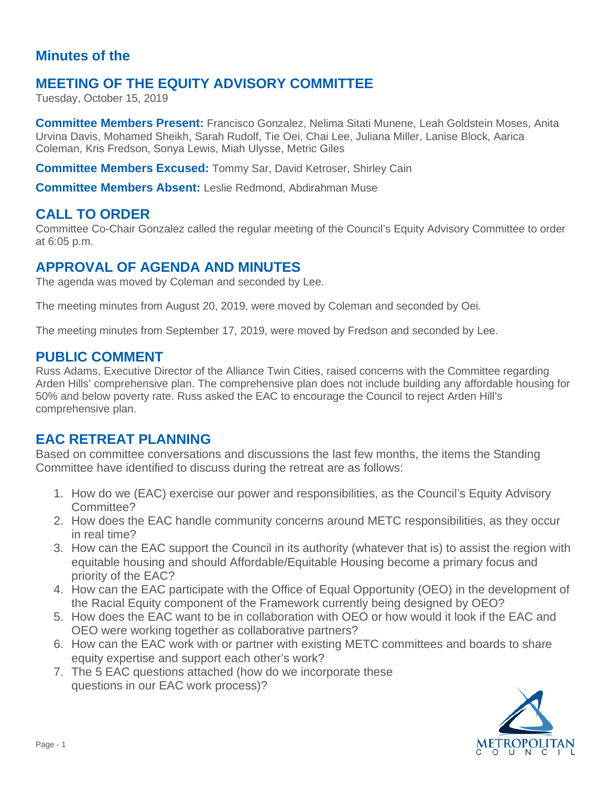#### **Minutes of the**

# **MEETING OF THE EQUITY ADVISORY COMMITTEE**

Tuesday, October 15, 2019

**Committee Members Present:** Francisco Gonzalez, Nelima Sitati Munene, Leah Goldstein Moses, Anita Urvina Davis, Mohamed Sheikh, Sarah Rudolf, Tie Oei, Chai Lee, Juliana Miller, Lanise Block, Aarica Coleman, Kris Fredson, Sonya Lewis, Miah Ulysse, Metric Giles

**Committee Members Excused:** Tommy Sar, David Ketroser, Shirley Cain

**Committee Members Absent:** Leslie Redmond, Abdirahman Muse

### **CALL TO ORDER**

Committee Co-Chair Gonzalez called the regular meeting of the Council's Equity Advisory Committee to order at 6:05 p.m.

# **APPROVAL OF AGENDA AND MINUTES**

The agenda was moved by Coleman and seconded by Lee.

The meeting minutes from August 20, 2019, were moved by Coleman and seconded by Oei.

The meeting minutes from September 17, 2019, were moved by Fredson and seconded by Lee.

#### **PUBLIC COMMENT**

Russ Adams, Executive Director of the Alliance Twin Cities, raised concerns with the Committee regarding Arden Hills' comprehensive plan. The comprehensive plan does not include building any affordable housing for 50% and below poverty rate. Russ asked the EAC to encourage the Council to reject Arden Hill's comprehensive plan.

# **EAC RETREAT PLANNING**

Based on committee conversations and discussions the last few months, the items the Standing Committee have identified to discuss during the retreat are as follows:

- 1. How do we (EAC) exercise our power and responsibilities, as the Council's Equity Advisory Committee?
- 2. How does the EAC handle community concerns around METC responsibilities, as they occur in real time?
- 3. How can the EAC support the Council in its authority (whatever that is) to assist the region with equitable housing and should Affordable/Equitable Housing become a primary focus and priority of the EAC?
- 4. How can the EAC participate with the Office of Equal Opportunity (OEO) in the development of the Racial Equity component of the Framework currently being designed by OEO?
- 5. How does the EAC want to be in collaboration with OEO or how would it look if the EAC and OEO were working together as collaborative partners?
- 6. How can the EAC work with or partner with existing METC committees and boards to share equity expertise and support each other's work?
- 7. The 5 EAC questions attached (how do we incorporate these questions in our EAC work process)?